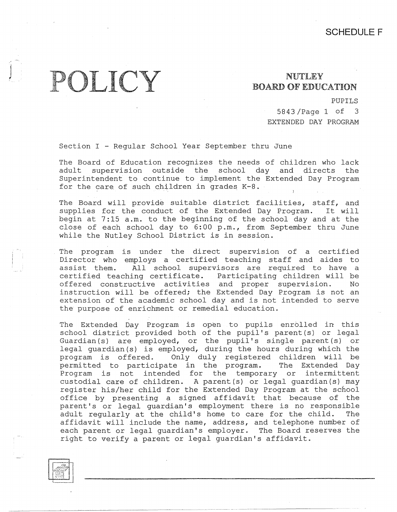## POLICY

## NUTLEY BOARD OF EDUCATION

PUPILS

5843 /Page 1 of 3 EXTENDED DAY PROGRAM

Section I - Reqular School Year September thru June

The Board of Education recognizes the needs of children who lack adult supervision outside the school day and directs the Superintendent to continue to implement the Extended Day Program for the care of such children in grades K-8.

The Board will provide suitable district facilities, staff, and supplies for the conduct of the Extended Day Program. It will begin at 7:15 a.m. to the beginning of the school day and at the close of each school day to 6:00 p.m., from September thru June while the Nutley School District is in session.

The program is under the direct supervision of a certified Director who employs a certified teaching staff and aides to assist them. All school supervisors are required to have a certified teaching certificate. Participating children will be offered constructive activities and proper supervision. No instruction will be offered; the Extended Day Program is not an extension of the academic school day and is not intended to serve the purpose of enrichment or remedial education.

The Extended Day Program is open to pupils enrolled in this school district provided both of the pupil's parent(s) or legal Guardian (s) are employed, or the pupil's single parent (s) or legal guardian(s) is employed, during the hours during which the program is offered. Only duly registered children will be permitted to participate in the program. The Extended Day Program is not intended for the temporary or intermittent custodial care of children. A parent(s) or legal guardian(s) may register his/her child for the Extended Day Program at the school office by presenting a signed affidavit that because of the parent's or legal guardian's employment there is no responsible adult regularly at the child's home to care for the child. The affidavit will include the name, address, and telephone number of each parent or legal guardian's employer. The Board reserves the right to verify a parent or legal guardian's affidavit.

 $\frac{1}{2}$  $\begin{bmatrix} \begin{smallmatrix} \begin{smallmatrix} 0 & \cdots \end{smallmatrix} \end{bmatrix} \end{bmatrix}$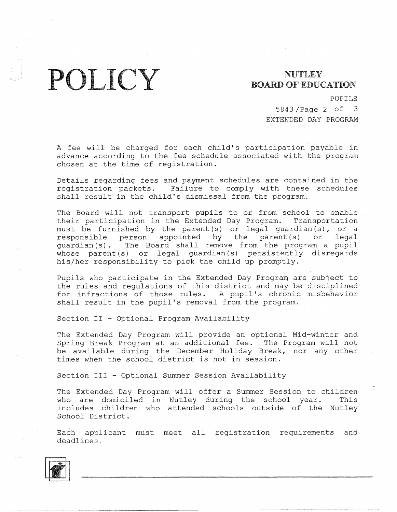POLICY BOARD OF EDUC

## **BOARD** OF EDUCATION

PUPILS

5843 /Page 2 of 3 EXTENDED DAY PROGRAM

A fee will be charged for each child's participation payable in advance according to the fee schedule associated with the program chosen at the time of registration.

Details regarding fees and payment schedules are contained in the<br>registration packets. Failure to comply with these schedules Failure to comply with these schedules shall result in the child's dismissal from the program.

The Board will not transport pupils to or from school to enable their participation in the Extended Day Program. Transportation must be furnished by the parent (s) or legal guardian  $(s)$ , or a responsible person appointed by the parent (s) or legal responsible person appointed by the parent(s) or legal guardian(s). The Board shall remove from the program a pupil whose parent(s) or legal guardian(s) persistently disregards his/her responsibility to pick the child up promptly.

Pupils who participate in the Extended Day Program are subject to the rules and regulations of this district and may be disciplined for infractions of those rules. A pupil's chronic misbehavior shall result in the pupil's removal from the program.

Section II - Optional Program Availability

The Extended Day Program will provide an optional Mid-winter and Spring Break Program at an additional fee. The Program will not be available during the December Holiday Break, nor any other times when the school district is not in session.

Section III - Optional Summer Session Availability

The Extended Day Program will offer a Summer Session to children who are domiciled in Nutley during the school year. This includes children who attended schools outside of the Nutley School District.

Each applicant must meet all registration requirements and deadlines.